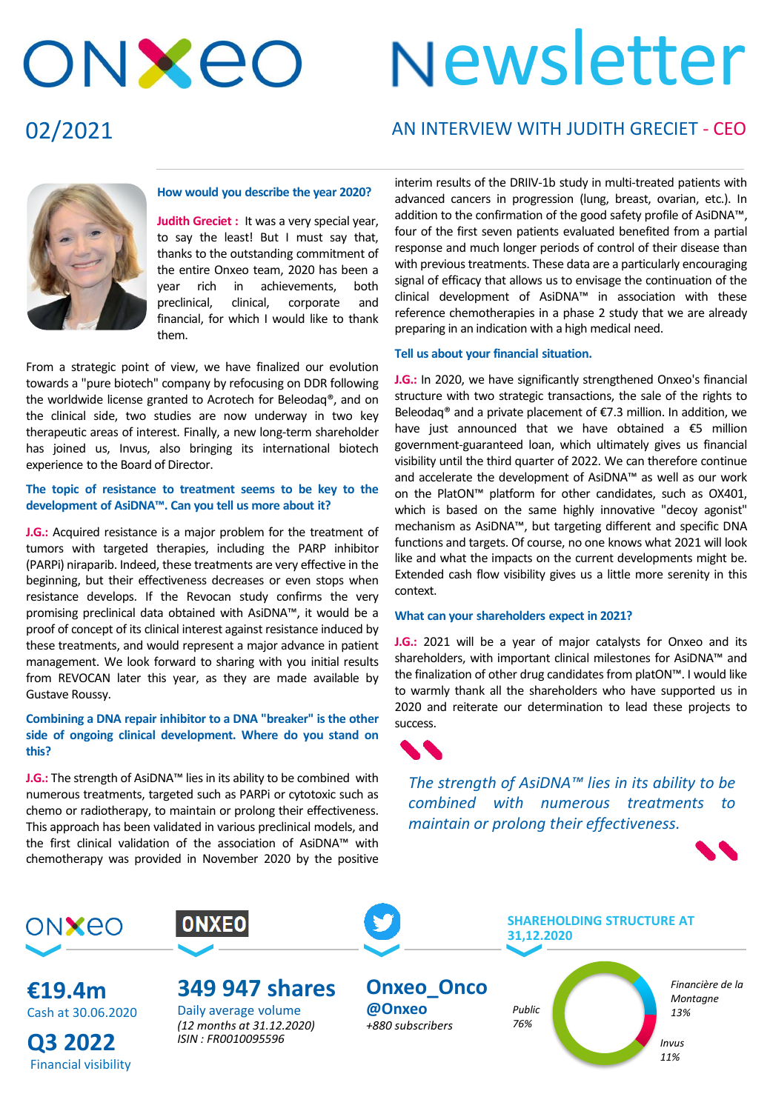# ONXEO

# Newsletter

### 02/2021

#### AN INTERVIEW WITH JUDITH GRECIET - CEO



#### **How would you describe the year 2020?**

**Judith Greciet :** It was a very special year, to say the least! But I must say that, thanks to the outstanding commitment of the entire Onxeo team, 2020 has been a year rich in achievements, both preclinical, clinical, corporate and financial, for which I would like to thank them.

From a strategic point of view, we have finalized our evolution towards a "pure biotech" company by refocusing on DDR following the worldwide license granted to Acrotech for Beleodaq®, and on the clinical side, two studies are now underway in two key therapeutic areas of interest. Finally, a new long-term shareholder has joined us, Invus, also bringing its international biotech experience to the Board of Director.

#### **The topic of resistance to treatment seems to be key to the development of AsiDNA™. Can you tell us more about it?**

**J.G.:** Acquired resistance is a major problem for the treatment of tumors with targeted therapies, including the PARP inhibitor (PARPi) niraparib. Indeed, these treatments are very effective in the beginning, but their effectiveness decreases or even stops when resistance develops. If the Revocan study confirms the very promising preclinical data obtained with AsiDNA™, it would be a proof of concept of its clinical interest against resistance induced by these treatments, and would represent a major advance in patient management. We look forward to sharing with you initial results from REVOCAN later this year, as they are made available by Gustave Roussy.

#### **Combining a DNA repair inhibitor to a DNA "breaker" is the other side of ongoing clinical development. Where do you stand on this?**

**J.G.:** The strength of AsiDNA<sup>™</sup> lies in its ability to be combined with numerous treatments, targeted such as PARPi or cytotoxic such as chemo or radiotherapy, to maintain or prolong their effectiveness. This approach has been validated in various preclinical models, and the first clinical validation of the association of AsiDNA™ with chemotherapy was provided in November 2020 by the positive

interim results of the DRIIV-1b study in multi-treated patients with advanced cancers in progression (lung, breast, ovarian, etc.). In addition to the confirmation of the good safety profile of AsiDNA™, four of the first seven patients evaluated benefited from a partial response and much longer periods of control of their disease than with previous treatments. These data are a particularly encouraging signal of efficacy that allows us to envisage the continuation of the clinical development of AsiDNA™ in association with these reference chemotherapies in a phase 2 study that we are already preparing in an indication with a high medical need.

#### **Tell us about your financial situation.**

**J.G.:** In 2020, we have significantly strengthened Onxeo's financial structure with two strategic transactions, the sale of the rights to Beleodaq® and a private placement of €7.3 million. In addition, we have just announced that we have obtained a €5 million government-guaranteed loan, which ultimately gives us financial visibility until the third quarter of 2022. We can therefore continue and accelerate the development of AsiDNA™ as well as our work on the PlatON™ platform for other candidates, such as OX401, which is based on the same highly innovative "decoy agonist" mechanism as AsiDNA™, but targeting different and specific DNA functions and targets. Of course, no one knows what 2021 will look like and what the impacts on the current developments might be. Extended cash flow visibility gives us a little more serenity in this context.

#### **What can your shareholders expect in 2021?**

**J.G.:** 2021 will be a year of major catalysts for Onxeo and its shareholders, with important clinical milestones for AsiDNA™ and the finalization of other drug candidates from platON™. I would like to warmly thank all the shareholders who have supported us in 2020 and reiterate our determination to lead these projects to success.



*The strength of AsiDNA™ lies in its ability to be combined with numerous treatments to maintain or prolong their effectiveness.*





**€19.4m** Cash at 30.06.2020

**Q3 2022** Financial visibility



## **349 947 shares**

Daily average volume *(12 months at 31.12.2020) ISIN : FR0010095596*

**Onxeo\_Onco @Onxeo** *+880 subscribers*

*Public 76%*

**31,12.2020**

**SHAREHOLDING STRUCTURE AT** 

*Financière de la Montagne 13%*

*Invus 11%*